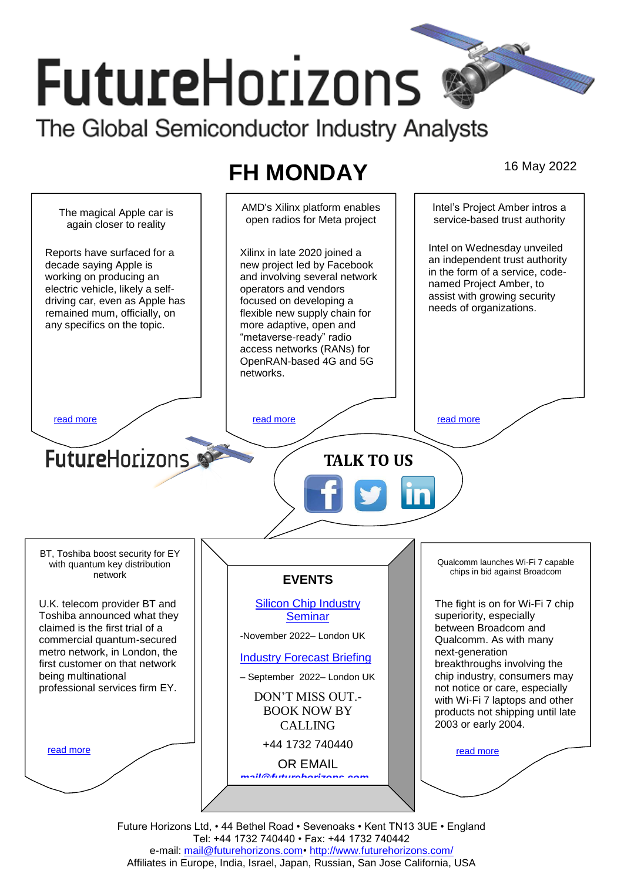# **FutureHorizons** The Global Semiconductor Industry Analysts

## **FH MONDAY** 16 May 2022



Future Horizons Ltd, • 44 Bethel Road • Sevenoaks • Kent TN13 3UE • England Tel: +44 1732 740440 • Fax: +44 1732 740442 e-mail: mail@futurehorizons.com• http://www.futurehorizons.com/ Affiliates in Europe, India, Israel, Japan, Russian, San Jose California, USA